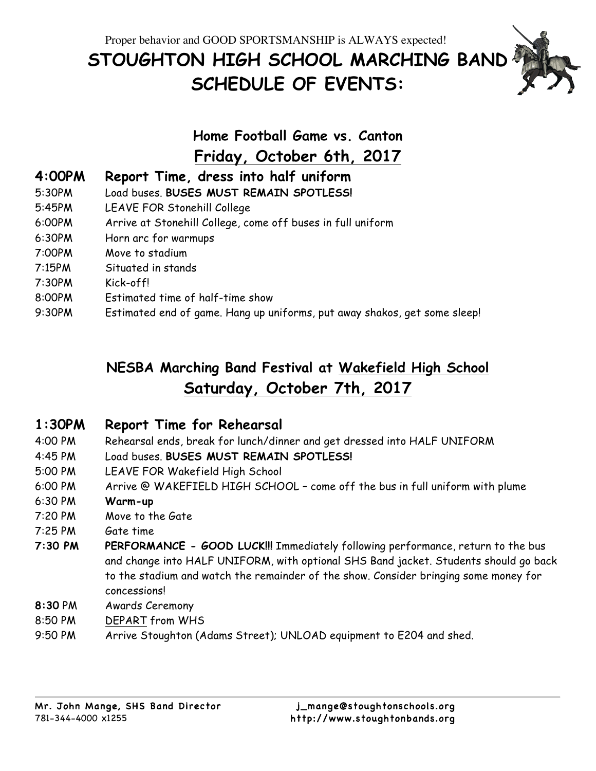# **STOUGHTON HIGH SCHOOL MARCHING BAND SCHEDULE OF EVENTS:**

## **Home Football Game vs. Canton Friday, October 6th, 2017**

- **4:00PM Report Time, dress into half uniform**
- 5:30PM Load buses. **BUSES MUST REMAIN SPOTLESS!**
- 5:45PM LEAVE FOR Stonehill College
- 6:00PM Arrive at Stonehill College, come off buses in full uniform
- 6:30PM Horn arc for warmups
- 7:00PM Move to stadium
- 7:15PM Situated in stands
- 7:30PM Kick-off!
- 8:00PM Estimated time of half-time show
- 9:30PM Estimated end of game. Hang up uniforms, put away shakos, get some sleep!

### **NESBA Marching Band Festival at Wakefield High School Saturday, October 7th, 2017**

#### **1:30PM Report Time for Rehearsal**

- 4:00 PM Rehearsal ends, break for lunch/dinner and get dressed into HALF UNIFORM
- 4:45 PM Load buses. **BUSES MUST REMAIN SPOTLESS!**
- 5:00 PM LEAVE FOR Wakefield High School
- 6:00 PM Arrive @ WAKEFIELD HIGH SCHOOL come off the bus in full uniform with plume
- 6:30 PM **Warm-up**
- 7:20 PM Move to the Gate
- 7:25 PM Gate time
- **7:30 PM PERFORMANCE - GOOD LUCK!!!** Immediately following performance, return to the bus and change into HALF UNIFORM, with optional SHS Band jacket. Students should go back to the stadium and watch the remainder of the show. Consider bringing some money for concessions!
- **8:30** PM Awards Ceremony
- 8:50 PM DEPART from WHS
- 9:50 PM Arrive Stoughton (Adams Street); UNLOAD equipment to E204 and shed.